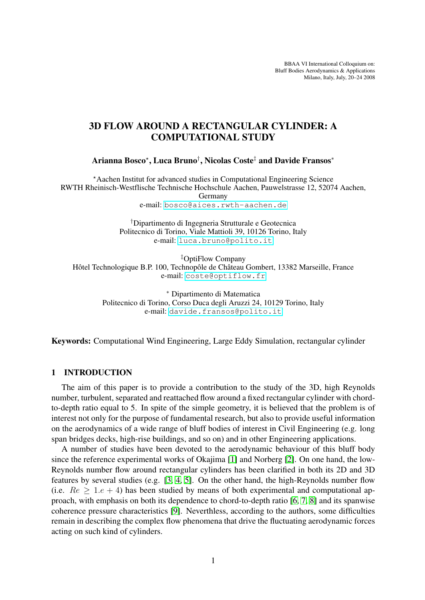BBAA VI International Colloquium on: Bluff Bodies Aerodynamics & Applications Milano, Italy, July, 20–24 2008

# 3D FLOW AROUND A RECTANGULAR CYLINDER: A COMPUTATIONAL STUDY

Arianna Bosco\*, Luca Bruno†, Nicolas Coste‡ and Davide Fransos\*

?Aachen Institut for advanced studies in Computational Engineering Science RWTH Rheinisch-Westflische Technische Hochschule Aachen, Pauwelstrasse 12, 52074 Aachen, Germany

e-mail: <bosco@aices.rwth-aachen.de>

†Dipartimento di Ingegneria Strutturale e Geotecnica Politecnico di Torino, Viale Mattioli 39, 10126 Torino, Italy e-mail: <luca.bruno@polito.it>

‡OptiFlow Company Hôtel Technologique B.P. 100, Technopôle de Château Gombert, 13382 Marseille, France e-mail: <coste@optiflow.fr>

> <sup>∗</sup> Dipartimento di Matematica Politecnico di Torino, Corso Duca degli Aruzzi 24, 10129 Torino, Italy e-mail: <davide.fransos@polito.it>

Keywords: Computational Wind Engineering, Large Eddy Simulation, rectangular cylinder

## 1 INTRODUCTION

The aim of this paper is to provide a contribution to the study of the 3D, high Reynolds number, turbulent, separated and reattached flow around a fixed rectangular cylinder with chordto-depth ratio equal to 5. In spite of the simple geometry, it is believed that the problem is of interest not only for the purpose of fundamental research, but also to provide useful information on the aerodynamics of a wide range of bluff bodies of interest in Civil Engineering (e.g. long span bridges decks, high-rise buildings, and so on) and in other Engineering applications.

A number of studies have been devoted to the aerodynamic behaviour of this bluff body since the reference experimental works of Okajima [\[1\]](#page-2-0) and Norberg [\[2\]](#page-3-0). On one hand, the low-Reynolds number flow around rectangular cylinders has been clarified in both its 2D and 3D features by several studies (e.g. [\[3,](#page-3-1) [4,](#page-3-2) [5\]](#page-3-3). On the other hand, the high-Reynolds number flow (i.e.  $Re > 1.e + 4$ ) has been studied by means of both experimental and computational approach, with emphasis on both its dependence to chord-to-depth ratio [\[6,](#page-3-4) [7,](#page-3-5) [8\]](#page-3-6) and its spanwise coherence pressure characteristics [\[9\]](#page-3-7). Neverthless, according to the authors, some difficulties remain in describing the complex flow phenomena that drive the fluctuating aerodynamic forces acting on such kind of cylinders.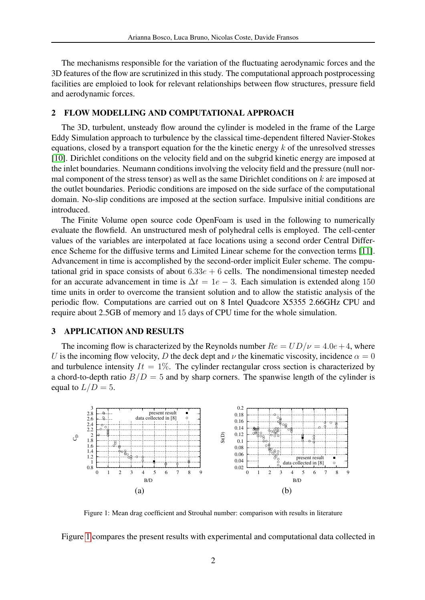The mechanisms responsible for the variation of the fluctuating aerodynamic forces and the 3D features of the flow are scrutinized in this study. The computational approach postprocessing facilities are emploied to look for relevant relationships between flow structures, pressure field and aerodynamic forces.

#### 2 FLOW MODELLING AND COMPUTATIONAL APPROACH

The 3D, turbulent, unsteady flow around the cylinder is modeled in the frame of the Large Eddy Simulation approach to turbulence by the classical time-dependent filtered Navier-Stokes equations, closed by a transport equation for the the kinetic energy  $k$  of the unresolved stresses [\[10\]](#page-3-8). Dirichlet conditions on the velocity field and on the subgrid kinetic energy are imposed at the inlet boundaries. Neumann conditions involving the velocity field and the pressure (null normal component of the stress tensor) as well as the same Dirichlet conditions on  $k$  are imposed at the outlet boundaries. Periodic conditions are imposed on the side surface of the computational domain. No-slip conditions are imposed at the section surface. Impulsive initial conditions are introduced.

The Finite Volume open source code OpenFoam is used in the following to numerically evaluate the flowfield. An unstructured mesh of polyhedral cells is employed. The cell-center values of the variables are interpolated at face locations using a second order Central Difference Scheme for the diffusive terms and Limited Linear scheme for the convection terms [\[11\]](#page-3-9). Advancement in time is accomplished by the second-order implicit Euler scheme. The computational grid in space consists of about  $6.33e + 6$  cells. The nondimensional timestep needed for an accurate advancement in time is  $\Delta t = 1e - 3$ . Each simulation is extended along 150 time units in order to overcome the transient solution and to allow the statistic analysis of the periodic flow. Computations are carried out on 8 Intel Quadcore X5355 2.66GHz CPU and require about 2.5GB of memory and 15 days of CPU time for the whole simulation.

#### 3 APPLICATION AND RESULTS

The incoming flow is characterized by the Reynolds number  $Re = UD/\nu = 4.0e + 4$ , where U is the incoming flow velocity, D the deck dept and  $\nu$  the kinematic viscosity, incidence  $\alpha = 0$ and turbulence intensity  $It = 1\%$ . The cylinder rectangular cross section is characterized by a chord-to-depth ratio  $B/D = 5$  and by sharp corners. The spanwise length of the cylinder is equal to  $L/D = 5$ .



<span id="page-1-0"></span>Figure 1: Mean drag coefficient and Strouhal number: comparison with results in literature

Figure [1](#page-1-0) compares the present results with experimental and computational data collected in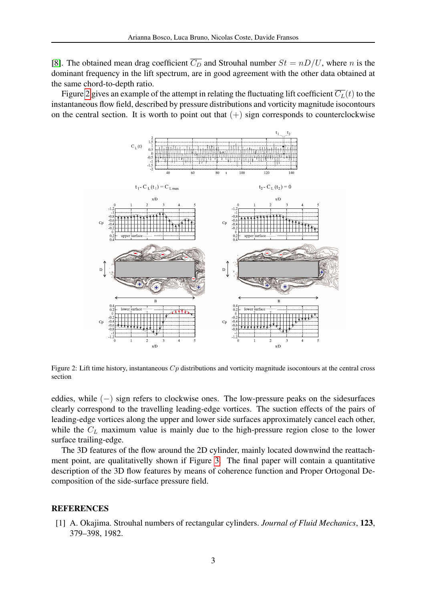[\[8\]](#page-3-6). The obtained mean drag coefficient  $\overline{C_D}$  and Strouhal number  $St = nD/U$ , where n is the dominant frequency in the lift spectrum, are in good agreement with the other data obtained at the same chord-to-depth ratio.

Figure [2](#page-2-1) gives an example of the attempt in relating the fluctuating lift coefficient  $\overline{C_L}(t)$  to the instantaneous flow field, described by pressure distributions and vorticity magnitude isocontours on the central section. It is worth to point out that  $(+)$  sign corresponds to counterclockwise



<span id="page-2-1"></span>Figure 2: Lift time history, instantaneous  $C_p$  distributions and vorticity magnitude isocontours at the central cross section

eddies, while (−) sign refers to clockwise ones. The low-pressure peaks on the sidesurfaces clearly correspond to the travelling leading-edge vortices. The suction effects of the pairs of leading-edge vortices along the upper and lower side surfaces approximately cancel each other, while the  $C_L$  maximum value is mainly due to the high-pressure region close to the lower surface trailing-edge.

The 3D features of the flow around the 2D cylinder, mainly located downwind the reattachment point, are qualitativelly shown if Figure [3.](#page-3-10) The final paper will contain a quantitative description of the 3D flow features by means of coherence function and Proper Ortogonal Decomposition of the side-surface pressure field.

### <span id="page-2-0"></span>**REFERENCES**

[1] A. Okajima. Strouhal numbers of rectangular cylinders. *Journal of Fluid Mechanics*, 123, 379–398, 1982.